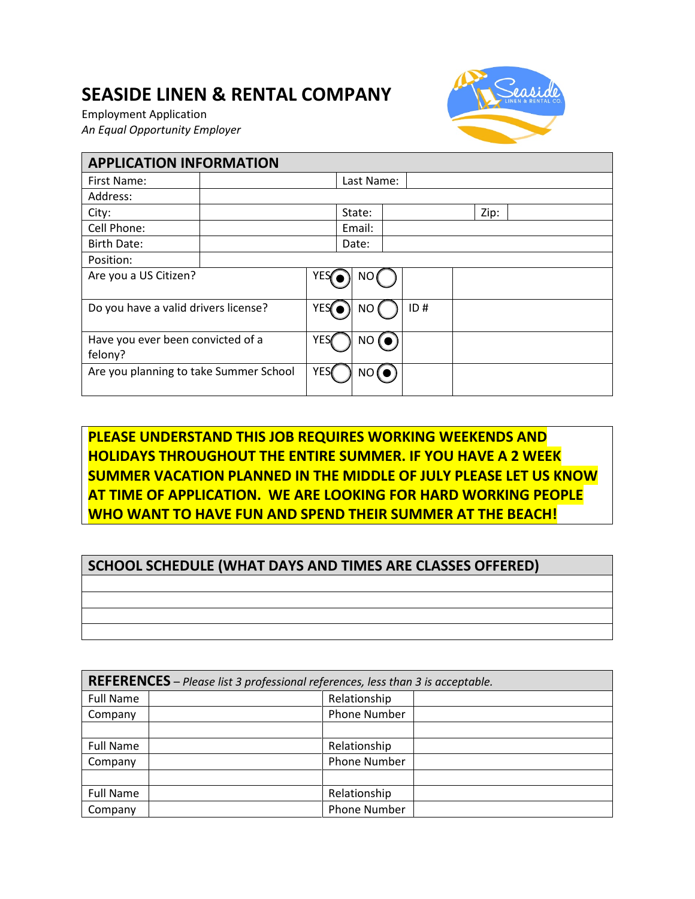## **SEASIDE LINEN & RENTAL COMPANY**

Employment Application *An Equal Opportunity Employer*



| <b>APPLICATION INFORMATION</b>               |  |            |        |  |     |  |      |  |  |
|----------------------------------------------|--|------------|--------|--|-----|--|------|--|--|
| First Name:                                  |  | Last Name: |        |  |     |  |      |  |  |
| Address:                                     |  |            |        |  |     |  |      |  |  |
| City:                                        |  |            | State: |  |     |  | Zip: |  |  |
| Cell Phone:                                  |  |            | Email: |  |     |  |      |  |  |
| Birth Date:                                  |  |            | Date:  |  |     |  |      |  |  |
| Position:                                    |  |            |        |  |     |  |      |  |  |
| Are you a US Citizen?                        |  | YES        | NO     |  |     |  |      |  |  |
| Do you have a valid drivers license?         |  | <b>YES</b> | NO     |  | ID# |  |      |  |  |
| Have you ever been convicted of a<br>felony? |  | <b>YES</b> | NO (O  |  |     |  |      |  |  |
| Are you planning to take Summer School       |  |            | NO(O)  |  |     |  |      |  |  |

## **PLEASE UNDERSTAND THIS JOB REQUIRES WORKING WEEKENDS AND HOLIDAYS THROUGHOUT THE ENTIRE SUMMER. IF YOU HAVE A 2 WEEK SUMMER VACATION PLANNED IN THE MIDDLE OF JULY PLEASE LET US KNOW AT TIME OF APPLICATION. WE ARE LOOKING FOR HARD WORKING PEOPLE WHO WANT TO HAVE FUN AND SPEND THEIR SUMMER AT THE BEACH!**

## **SCHOOL SCHEDULE (WHAT DAYS AND TIMES ARE CLASSES OFFERED)**

**REFERENCES** – *Please list 3 professional references, less than 3 is acceptable.* Full Name | Relationship Company | Phone Number Full Name | Name | Relationship Company | Phone Number Full Name | Nelationship Company | Phone Number